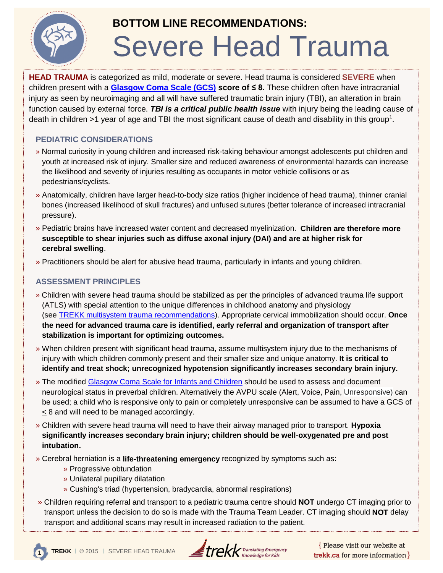

## **BOTTOM LINE RECOMMENDATIONS:**

# Severe Head Trauma

**HEAD TRAUMA** is categorized as mild, moderate or severe. Head trauma is considered **SEVERE** when children present with a **[Glasgow Coma Scale \(GCS\)](http://chemm.nlm.nih.gov/pals.htm#sec3) score of ≤ 8.** These children often have intracranial injury as seen by neuroimaging and all will have suffered traumatic brain injury (TBI), an alteration in brain function caused by external force. *TBI is a critical public health issue* with injury being the leading cause of death in children >1 year of age and TBI the most significant cause of death and disability in this group<sup>1</sup>.

## **PEDIATRIC CONSIDERATIONS**

- » Normal curiosity in young children and increased risk-taking behaviour amongst adolescents put children and youth at increased risk of injury. Smaller size and reduced awareness of environmental hazards can increase the likelihood and severity of injuries resulting as occupants in motor vehicle collisions or as pedestrians/cyclists.
- » Anatomically, children have larger head-to-body size ratios (higher incidence of head trauma), thinner cranial bones (increased likelihood of skull fractures) and unfused sutures (better tolerance of increased intracranial pressure).
- » Pediatric brains have increased water content and decreased myelinization. **Children are therefore more susceptible to shear injuries such as diffuse axonal injury (DAI) and are at higher risk for cerebral swelling**.
- » Practitioners should be alert for abusive head trauma, particularly in infants and young children.

### **ASSESSMENT PRINCIPLES**

- » Children with severe head trauma should be stabilized as per the principles of advanced trauma life support (ATLS) with special attention to the unique differences in childhood anatomy and physiology (see [TREKK multisystem trauma recommendations\)](http://cme02.med.umanitoba.ca/assets/trekk/assets/attachments/61/original/bottom-line-summary-multisystem-trauma.pdf?1427989754). Appropriate cervical immobilization should occur. **Once the need for advanced trauma care is identified, early referral and organization of transport after stabilization is important for optimizing outcomes.**
- » When children present with significant head trauma, assume multisystem injury due to the mechanisms of injury with which children commonly present and their smaller size and unique anatomy. **It is critical to identify and treat shock; unrecognized hypotension significantly increases secondary brain injury.**
- » The modified [Glasgow Coma Scale for Infants and Children](http://chemm.nlm.nih.gov/pals.htm#sec3) should be used to assess and document neurological status in preverbal children. Alternatively the AVPU scale (Alert, Voice, Pain, Unresponsive) can be used; a child who is responsive only to pain or completely unresponsive can be assumed to have a GCS of < 8 and will need to be managed accordingly.
- » Children with severe head trauma will need to have their airway managed prior to transport. **Hypoxia significantly increases secondary brain injury; children should be well-oxygenated pre and post intubation.**
- » Cerebral herniation is a **life-threatening emergency** recognized by symptoms such as:
	- » Progressive obtundation
	- » Unilateral pupillary dilatation
	- » Cushing's triad (hypertension, bradycardia, abnormal respirations)
- » Children requiring referral and transport to a pediatric trauma centre should **NOT** undergo CT imaging prior to transport unless the decision to do so is made with the Trauma Team Leader. CT imaging should **NOT** delay transport and additional scans may result in increased radiation to the patient.



Please visit our website at trekk.ca for more information  $\}$